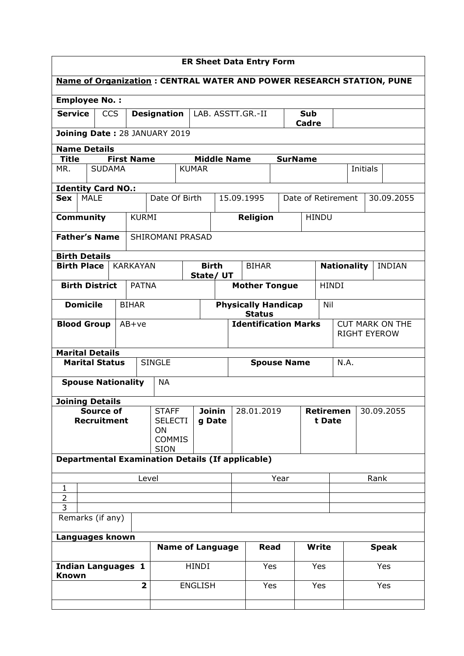| <b>ER Sheet Data Entry Form</b>                                             |                                                                                                  |                 |                         |                              |                         |                   |                             |                                             |      |                    |              |                     |          |                        |               |
|-----------------------------------------------------------------------------|--------------------------------------------------------------------------------------------------|-----------------|-------------------------|------------------------------|-------------------------|-------------------|-----------------------------|---------------------------------------------|------|--------------------|--------------|---------------------|----------|------------------------|---------------|
| <b>Name of Organization: CENTRAL WATER AND POWER RESEARCH STATION, PUNE</b> |                                                                                                  |                 |                         |                              |                         |                   |                             |                                             |      |                    |              |                     |          |                        |               |
| <b>Employee No.:</b>                                                        |                                                                                                  |                 |                         |                              |                         |                   |                             |                                             |      |                    |              |                     |          |                        |               |
| <b>Service</b>                                                              | <b>CCS</b>                                                                                       |                 |                         | <b>Designation</b>           |                         | LAB. ASSTT.GR.-II | <b>Sub</b><br><b>Cadre</b>  |                                             |      |                    |              |                     |          |                        |               |
|                                                                             | Joining Date: 28 JANUARY 2019                                                                    |                 |                         |                              |                         |                   |                             |                                             |      |                    |              |                     |          |                        |               |
|                                                                             | <b>Name Details</b><br><b>Title</b><br><b>First Name</b><br><b>Middle Name</b><br><b>SurName</b> |                 |                         |                              |                         |                   |                             |                                             |      |                    |              |                     |          |                        |               |
| MR.                                                                         | <b>SUDAMA</b>                                                                                    |                 |                         |                              | <b>KUMAR</b>            |                   |                             |                                             |      |                    |              |                     | Initials |                        |               |
| <b>Identity Card NO.:</b>                                                   |                                                                                                  |                 |                         |                              |                         |                   |                             |                                             |      |                    |              |                     |          |                        |               |
| <b>MALE</b><br><b>Sex</b>                                                   |                                                                                                  |                 |                         | Date Of Birth                |                         |                   |                             | 15.09.1995                                  |      | Date of Retirement |              |                     |          |                        | 30.09.2055    |
| <b>Community</b>                                                            |                                                                                                  |                 | <b>KURMI</b>            |                              |                         |                   |                             | <b>Religion</b>                             |      | <b>HINDU</b>       |              |                     |          |                        |               |
| <b>Father's Name</b>                                                        |                                                                                                  |                 |                         | SHIROMANI PRASAD             |                         |                   |                             |                                             |      |                    |              |                     |          |                        |               |
| <b>Birth Details</b>                                                        |                                                                                                  |                 |                         |                              |                         |                   |                             |                                             |      |                    |              |                     |          |                        |               |
| <b>Birth Place</b>                                                          |                                                                                                  | <b>KARKAYAN</b> |                         |                              | State/ UT               | <b>Birth</b>      |                             | <b>BIHAR</b>                                |      |                    |              | <b>Nationality</b>  |          |                        | <b>INDIAN</b> |
| <b>Birth District</b>                                                       |                                                                                                  |                 | <b>PATNA</b>            |                              |                         |                   |                             | <b>Mother Tongue</b>                        |      |                    | <b>HINDI</b> |                     |          |                        |               |
| <b>Domicile</b>                                                             |                                                                                                  | <b>BIHAR</b>    |                         |                              |                         |                   |                             | <b>Physically Handicap</b><br><b>Status</b> |      |                    | Nil          |                     |          |                        |               |
| <b>Blood Group</b>                                                          |                                                                                                  | $AB+ve$         |                         |                              |                         |                   | <b>Identification Marks</b> |                                             |      |                    |              |                     |          | <b>CUT MARK ON THE</b> |               |
|                                                                             |                                                                                                  |                 |                         |                              |                         |                   |                             |                                             |      |                    |              | <b>RIGHT EYEROW</b> |          |                        |               |
| <b>Marital Details</b><br><b>Marital Status</b>                             |                                                                                                  |                 |                         | <b>SINGLE</b>                |                         |                   | <b>Spouse Name</b>          |                                             |      |                    |              | N.A.                |          |                        |               |
| <b>Spouse Nationality</b>                                                   |                                                                                                  |                 |                         | <b>NA</b>                    |                         |                   |                             |                                             |      |                    |              |                     |          |                        |               |
|                                                                             |                                                                                                  |                 |                         |                              |                         |                   |                             |                                             |      |                    |              |                     |          |                        |               |
| <b>Joining Details</b>                                                      | <b>Source of</b>                                                                                 |                 |                         | <b>STAFF</b>                 |                         | <b>Joinin</b>     |                             | 28.01.2019                                  |      | <b>Retiremen</b>   |              |                     |          |                        | 30.09.2055    |
| <b>Recruitment</b>                                                          |                                                                                                  |                 |                         | <b>SELECTI</b><br>ON         |                         | g Date            |                             |                                             |      |                    | t Date       |                     |          |                        |               |
|                                                                             |                                                                                                  |                 |                         | <b>COMMIS</b><br><b>SION</b> |                         |                   |                             |                                             |      |                    |              |                     |          |                        |               |
| <b>Departmental Examination Details (If applicable)</b>                     |                                                                                                  |                 |                         |                              |                         |                   |                             |                                             |      |                    |              |                     |          |                        |               |
| Level                                                                       |                                                                                                  |                 |                         |                              |                         |                   |                             |                                             | Year |                    |              |                     |          | Rank                   |               |
| 1<br>$\overline{2}$                                                         |                                                                                                  |                 |                         |                              |                         |                   |                             |                                             |      |                    |              |                     |          |                        |               |
| 3<br>Remarks (if any)                                                       |                                                                                                  |                 |                         |                              |                         |                   |                             |                                             |      |                    |              |                     |          |                        |               |
| Languages known                                                             |                                                                                                  |                 |                         |                              |                         |                   |                             |                                             |      |                    |              |                     |          |                        |               |
|                                                                             |                                                                                                  |                 |                         |                              | <b>Name of Language</b> |                   |                             | <b>Read</b>                                 |      | <b>Write</b>       |              |                     |          |                        | <b>Speak</b>  |
| <b>Indian Languages 1</b>                                                   |                                                                                                  |                 |                         |                              | <b>HINDI</b>            |                   |                             | Yes                                         |      | Yes                |              |                     | Yes      |                        |               |
| <b>Known</b>                                                                |                                                                                                  |                 | $\overline{\mathbf{2}}$ |                              | <b>ENGLISH</b>          |                   |                             | Yes                                         |      | Yes                |              |                     | Yes      |                        |               |
|                                                                             |                                                                                                  |                 |                         |                              |                         |                   |                             |                                             |      |                    |              |                     |          |                        |               |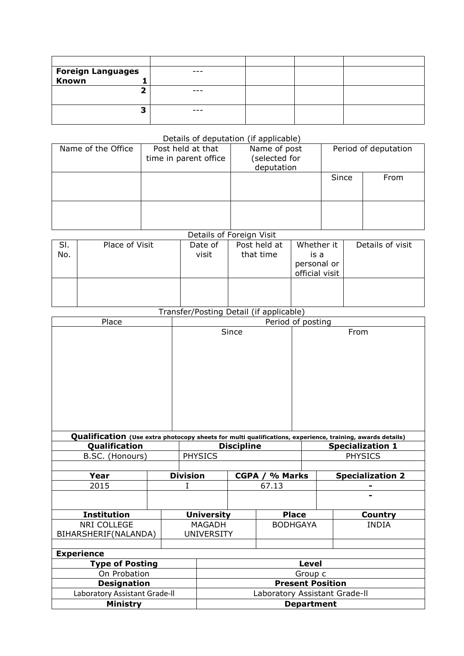| <b>Foreign Languages</b><br>Known |  |  |
|-----------------------------------|--|--|
|                                   |  |  |
|                                   |  |  |
| -                                 |  |  |
|                                   |  |  |

## Details of deputation (if applicable)

| Name of the Office | Post held at that<br>time in parent office | Name of post<br>selected for<br>deputation | Period of deputation |      |  |  |  |
|--------------------|--------------------------------------------|--------------------------------------------|----------------------|------|--|--|--|
|                    |                                            |                                            | Since                | From |  |  |  |
|                    |                                            |                                            |                      |      |  |  |  |

## Details of Foreign Visit

| SI.<br>No. | Place of Visit | Date of<br>visit | Post held at<br>that time | Whether it<br>is a | Details of visit |
|------------|----------------|------------------|---------------------------|--------------------|------------------|
|            |                |                  |                           | personal or        |                  |
|            |                |                  |                           | official visit     |                  |
|            |                |                  |                           |                    |                  |

## Transfer/Posting Detail (if applicable)

| Place                         |                               |                 | Period of posting |                 |              |                         |                                                                                                           |  |  |  |
|-------------------------------|-------------------------------|-----------------|-------------------|-----------------|--------------|-------------------------|-----------------------------------------------------------------------------------------------------------|--|--|--|
|                               |                               |                 |                   | Since           |              |                         | From                                                                                                      |  |  |  |
|                               |                               |                 |                   |                 |              |                         |                                                                                                           |  |  |  |
|                               |                               |                 |                   |                 |              |                         |                                                                                                           |  |  |  |
|                               |                               |                 |                   |                 |              |                         |                                                                                                           |  |  |  |
|                               |                               |                 |                   |                 |              |                         |                                                                                                           |  |  |  |
|                               |                               |                 |                   |                 |              |                         |                                                                                                           |  |  |  |
|                               |                               |                 |                   |                 |              |                         |                                                                                                           |  |  |  |
|                               |                               |                 |                   |                 |              |                         |                                                                                                           |  |  |  |
|                               |                               |                 |                   |                 |              |                         | Qualification (Use extra photocopy sheets for multi qualifications, experience, training, awards details) |  |  |  |
| Qualification                 |                               |                 | <b>Discipline</b> |                 |              | <b>Specialization 1</b> |                                                                                                           |  |  |  |
| B.SC. (Honours)               |                               | <b>PHYSICS</b>  |                   |                 |              |                         | <b>PHYSICS</b>                                                                                            |  |  |  |
|                               |                               |                 |                   |                 |              |                         |                                                                                                           |  |  |  |
| Year                          |                               | <b>Division</b> |                   | CGPA / % Marks  |              |                         | <b>Specialization 2</b>                                                                                   |  |  |  |
| 2015                          |                               |                 |                   |                 | 67.13        |                         |                                                                                                           |  |  |  |
|                               |                               |                 |                   |                 |              |                         |                                                                                                           |  |  |  |
| <b>Institution</b>            |                               |                 | <b>University</b> |                 | <b>Place</b> |                         | Country                                                                                                   |  |  |  |
| NRI COLLEGE                   |                               |                 | <b>MAGADH</b>     | <b>BODHGAYA</b> |              |                         | <b>INDIA</b>                                                                                              |  |  |  |
| BIHARSHERIF(NALANDA)          |                               |                 | <b>UNIVERSITY</b> |                 |              |                         |                                                                                                           |  |  |  |
|                               |                               |                 |                   |                 |              |                         |                                                                                                           |  |  |  |
| <b>Experience</b>             |                               |                 |                   |                 |              |                         |                                                                                                           |  |  |  |
| <b>Type of Posting</b>        | <b>Level</b>                  |                 |                   |                 |              |                         |                                                                                                           |  |  |  |
| On Probation                  | Group c                       |                 |                   |                 |              |                         |                                                                                                           |  |  |  |
| <b>Designation</b>            | <b>Present Position</b>       |                 |                   |                 |              |                         |                                                                                                           |  |  |  |
| Laboratory Assistant Grade-II | Laboratory Assistant Grade-II |                 |                   |                 |              |                         |                                                                                                           |  |  |  |
| Ministry                      | <b>Department</b>             |                 |                   |                 |              |                         |                                                                                                           |  |  |  |